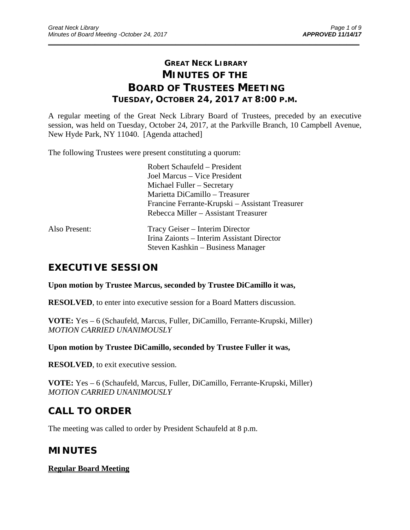# **GREAT NECK LIBRARY MINUTES OF THE BOARD OF TRUSTEES MEETING TUESDAY, OCTOBER 24, 2017 AT 8:00 P.M.**

\_\_\_\_\_\_\_\_\_\_\_\_\_\_\_\_\_\_\_\_\_\_\_\_\_\_\_\_\_\_\_\_\_\_\_\_\_\_\_\_\_\_\_\_\_\_\_\_\_\_\_\_\_\_\_\_\_\_\_\_\_\_\_\_\_\_\_\_\_\_\_\_\_\_\_\_\_\_\_\_\_\_\_\_\_\_\_\_\_\_\_\_\_

A regular meeting of the Great Neck Library Board of Trustees, preceded by an executive session, was held on Tuesday, October 24, 2017, at the Parkville Branch, 10 Campbell Avenue, New Hyde Park, NY 11040. [Agenda attached]

The following Trustees were present constituting a quorum:

|               | Robert Schaufeld - President                    |
|---------------|-------------------------------------------------|
|               | Joel Marcus – Vice President                    |
|               | Michael Fuller – Secretary                      |
|               | Marietta DiCamillo - Treasurer                  |
|               | Francine Ferrante-Krupski – Assistant Treasurer |
|               | Rebecca Miller - Assistant Treasurer            |
| Also Present: | Tracy Geiser – Interim Director                 |
|               | Irina Zaionts – Interim Assistant Director      |
|               | Steven Kashkin – Business Manager               |

# **EXECUTIVE SESSION**

**Upon motion by Trustee Marcus, seconded by Trustee DiCamillo it was,** 

**RESOLVED**, to enter into executive session for a Board Matters discussion.

**VOTE:** Yes – 6 (Schaufeld, Marcus, Fuller, DiCamillo, Ferrante-Krupski, Miller) *MOTION CARRIED UNANIMOUSLY* 

**Upon motion by Trustee DiCamillo, seconded by Trustee Fuller it was,** 

**RESOLVED**, to exit executive session.

**VOTE:** Yes – 6 (Schaufeld, Marcus, Fuller, DiCamillo, Ferrante-Krupski, Miller) *MOTION CARRIED UNANIMOUSLY* 

# **CALL TO ORDER**

The meeting was called to order by President Schaufeld at 8 p.m.

# **MINUTES**

**Regular Board Meeting**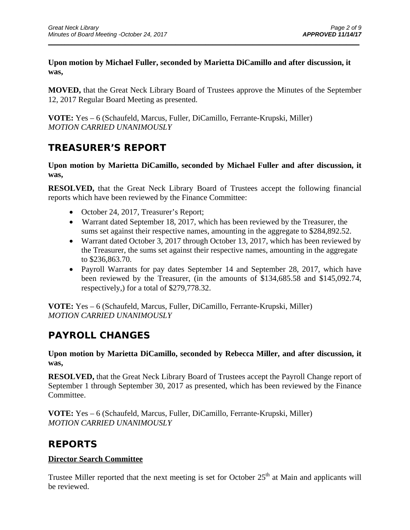**Upon motion by Michael Fuller, seconded by Marietta DiCamillo and after discussion, it was,** 

\_\_\_\_\_\_\_\_\_\_\_\_\_\_\_\_\_\_\_\_\_\_\_\_\_\_\_\_\_\_\_\_\_\_\_\_\_\_\_\_\_\_\_\_\_\_\_\_\_\_\_\_\_\_\_\_\_\_\_\_\_\_\_\_\_\_\_\_\_\_\_\_\_\_\_\_\_\_\_\_\_\_\_\_\_\_\_\_\_\_\_\_\_

**MOVED,** that the Great Neck Library Board of Trustees approve the Minutes of the September 12, 2017 Regular Board Meeting as presented.

**VOTE:** Yes – 6 (Schaufeld, Marcus, Fuller, DiCamillo, Ferrante-Krupski, Miller) *MOTION CARRIED UNANIMOUSLY*

# **TREASURER'S REPORT**

**Upon motion by Marietta DiCamillo, seconded by Michael Fuller and after discussion, it was,** 

**RESOLVED,** that the Great Neck Library Board of Trustees accept the following financial reports which have been reviewed by the Finance Committee:

- October 24, 2017, Treasurer's Report;
- Warrant dated September 18, 2017, which has been reviewed by the Treasurer, the sums set against their respective names, amounting in the aggregate to \$284,892.52.
- Warrant dated October 3, 2017 through October 13, 2017, which has been reviewed by the Treasurer, the sums set against their respective names, amounting in the aggregate to \$236,863.70.
- Payroll Warrants for pay dates September 14 and September 28, 2017, which have been reviewed by the Treasurer, (in the amounts of \$134,685.58 and \$145,092.74, respectively,) for a total of \$279,778.32.

**VOTE:** Yes – 6 (Schaufeld, Marcus, Fuller, DiCamillo, Ferrante-Krupski, Miller) *MOTION CARRIED UNANIMOUSLY*

# **PAYROLL CHANGES**

**Upon motion by Marietta DiCamillo, seconded by Rebecca Miller, and after discussion, it was,** 

**RESOLVED,** that the Great Neck Library Board of Trustees accept the Payroll Change report of September 1 through September 30, 2017 as presented, which has been reviewed by the Finance Committee.

**VOTE:** Yes – 6 (Schaufeld, Marcus, Fuller, DiCamillo, Ferrante-Krupski, Miller) *MOTION CARRIED UNANIMOUSLY*

# **REPORTS**

### **Director Search Committee**

Trustee Miller reported that the next meeting is set for October  $25<sup>th</sup>$  at Main and applicants will be reviewed.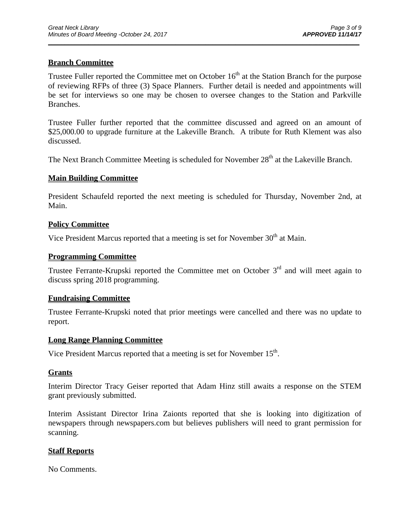### **Branch Committee**

Trustee Fuller reported the Committee met on October 16<sup>th</sup> at the Station Branch for the purpose of reviewing RFPs of three (3) Space Planners. Further detail is needed and appointments will be set for interviews so one may be chosen to oversee changes to the Station and Parkville Branches.

\_\_\_\_\_\_\_\_\_\_\_\_\_\_\_\_\_\_\_\_\_\_\_\_\_\_\_\_\_\_\_\_\_\_\_\_\_\_\_\_\_\_\_\_\_\_\_\_\_\_\_\_\_\_\_\_\_\_\_\_\_\_\_\_\_\_\_\_\_\_\_\_\_\_\_\_\_\_\_\_\_\_\_\_\_\_\_\_\_\_\_\_\_

Trustee Fuller further reported that the committee discussed and agreed on an amount of \$25,000.00 to upgrade furniture at the Lakeville Branch. A tribute for Ruth Klement was also discussed.

The Next Branch Committee Meeting is scheduled for November 28<sup>th</sup> at the Lakeville Branch.

#### **Main Building Committee**

President Schaufeld reported the next meeting is scheduled for Thursday, November 2nd, at Main.

#### **Policy Committee**

Vice President Marcus reported that a meeting is set for November  $30<sup>th</sup>$  at Main.

#### **Programming Committee**

Trustee Ferrante-Krupski reported the Committee met on October  $3<sup>rd</sup>$  and will meet again to discuss spring 2018 programming.

#### **Fundraising Committee**

Trustee Ferrante-Krupski noted that prior meetings were cancelled and there was no update to report.

#### **Long Range Planning Committee**

Vice President Marcus reported that a meeting is set for November  $15<sup>th</sup>$ .

#### **Grants**

Interim Director Tracy Geiser reported that Adam Hinz still awaits a response on the STEM grant previously submitted.

Interim Assistant Director Irina Zaionts reported that she is looking into digitization of newspapers through newspapers.com but believes publishers will need to grant permission for scanning.

#### **Staff Reports**

No Comments.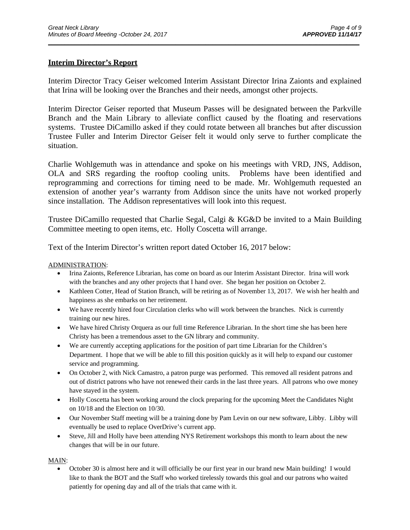#### **Interim Director's Report**

Interim Director Tracy Geiser welcomed Interim Assistant Director Irina Zaionts and explained that Irina will be looking over the Branches and their needs, amongst other projects.

\_\_\_\_\_\_\_\_\_\_\_\_\_\_\_\_\_\_\_\_\_\_\_\_\_\_\_\_\_\_\_\_\_\_\_\_\_\_\_\_\_\_\_\_\_\_\_\_\_\_\_\_\_\_\_\_\_\_\_\_\_\_\_\_\_\_\_\_\_\_\_\_\_\_\_\_\_\_\_\_\_\_\_\_\_\_\_\_\_\_\_\_\_

Interim Director Geiser reported that Museum Passes will be designated between the Parkville Branch and the Main Library to alleviate conflict caused by the floating and reservations systems. Trustee DiCamillo asked if they could rotate between all branches but after discussion Trustee Fuller and Interim Director Geiser felt it would only serve to further complicate the situation.

Charlie Wohlgemuth was in attendance and spoke on his meetings with VRD, JNS, Addison, OLA and SRS regarding the rooftop cooling units. Problems have been identified and reprogramming and corrections for timing need to be made. Mr. Wohlgemuth requested an extension of another year's warranty from Addison since the units have not worked properly since installation. The Addison representatives will look into this request.

Trustee DiCamillo requested that Charlie Segal, Calgi & KG&D be invited to a Main Building Committee meeting to open items, etc. Holly Coscetta will arrange.

Text of the Interim Director's written report dated October 16, 2017 below:

ADMINISTRATION:

- Irina Zaionts, Reference Librarian, has come on board as our Interim Assistant Director. Irina will work with the branches and any other projects that I hand over. She began her position on October 2.
- Kathleen Cotter, Head of Station Branch, will be retiring as of November 13, 2017. We wish her health and happiness as she embarks on her retirement.
- We have recently hired four Circulation clerks who will work between the branches. Nick is currently training our new hires.
- We have hired Christy Orquera as our full time Reference Librarian. In the short time she has been here Christy has been a tremendous asset to the GN library and community.
- We are currently accepting applications for the position of part time Librarian for the Children's Department. I hope that we will be able to fill this position quickly as it will help to expand our customer service and programming.
- On October 2, with Nick Camastro, a patron purge was performed. This removed all resident patrons and out of district patrons who have not renewed their cards in the last three years. All patrons who owe money have stayed in the system.
- Holly Coscetta has been working around the clock preparing for the upcoming Meet the Candidates Night on 10/18 and the Election on 10/30.
- Our November Staff meeting will be a training done by Pam Levin on our new software, Libby. Libby will eventually be used to replace OverDrive's current app.
- Steve, Jill and Holly have been attending NYS Retirement workshops this month to learn about the new changes that will be in our future.

MAIN:

 October 30 is almost here and it will officially be our first year in our brand new Main building! I would like to thank the BOT and the Staff who worked tirelessly towards this goal and our patrons who waited patiently for opening day and all of the trials that came with it.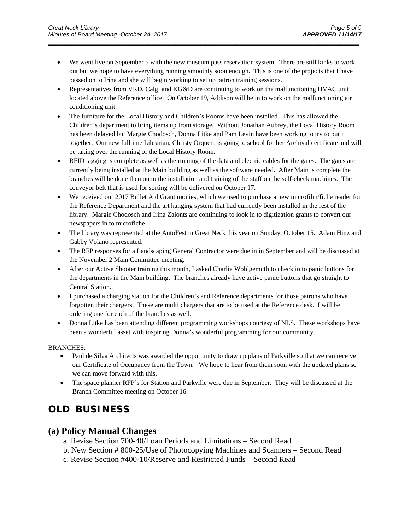We went live on September 5 with the new museum pass reservation system. There are still kinks to work out but we hope to have everything running smoothly soon enough. This is one of the projects that I have passed on to Irina and she will begin working to set up patron training sessions.

\_\_\_\_\_\_\_\_\_\_\_\_\_\_\_\_\_\_\_\_\_\_\_\_\_\_\_\_\_\_\_\_\_\_\_\_\_\_\_\_\_\_\_\_\_\_\_\_\_\_\_\_\_\_\_\_\_\_\_\_\_\_\_\_\_\_\_\_\_\_\_\_\_\_\_\_\_\_\_\_\_\_\_\_\_\_\_\_\_\_\_\_\_

- Representatives from VRD, Calgi and KG&D are continuing to work on the malfunctioning HVAC unit located above the Reference office. On October 19, Addison will be in to work on the malfunctioning air conditioning unit.
- The furniture for the Local History and Children's Rooms have been installed. This has allowed the Children's department to bring items up from storage. Without Jonathan Aubrey, the Local History Room has been delayed but Margie Chodosch, Donna Litke and Pam Levin have been working to try to put it together. Our new fulltime Librarian, Christy Orquera is going to school for her Archival certificate and will be taking over the running of the Local History Room.
- RFID tagging is complete as well as the running of the data and electric cables for the gates. The gates are currently being installed at the Main building as well as the software needed. After Main is complete the branches will be done then on to the installation and training of the staff on the self-check machines. The conveyor belt that is used for sorting will be delivered on October 17.
- We received our 2017 Bullet Aid Grant monies, which we used to purchase a new microfilm/fiche reader for the Reference Department and the art hanging system that had currently been installed in the rest of the library. Margie Chodosch and Irina Zaionts are continuing to look in to digitization grants to convert our newspapers in to microfiche.
- The library was represented at the AutoFest in Great Neck this year on Sunday, October 15. Adam Hinz and Gabby Volano represented.
- The RFP responses for a Landscaping General Contractor were due in in September and will be discussed at the November 2 Main Committee meeting.
- After our Active Shooter training this month, I asked Charlie Wohlgemuth to check in to panic buttons for the departments in the Main building. The branches already have active panic buttons that go straight to Central Station.
- I purchased a charging station for the Children's and Reference departments for those patrons who have forgotten their chargers. These are multi chargers that are to be used at the Reference desk. I will be ordering one for each of the branches as well.
- Donna Litke has been attending different programming workshops courtesy of NLS. These workshops have been a wonderful asset with inspiring Donna's wonderful programming for our community.

#### BRANCHES:

- Paul de Silva Architects was awarded the opportunity to draw up plans of Parkville so that we can receive our Certificate of Occupancy from the Town. We hope to hear from them soon with the updated plans so we can move forward with this.
- The space planner RFP's for Station and Parkville were due in September. They will be discussed at the Branch Committee meeting on October 16.

# **OLD BUSINESS**

#### **(a) Policy Manual Changes**

- a. Revise Section 700-40/Loan Periods and Limitations Second Read
- b. New Section # 800-25/Use of Photocopying Machines and Scanners Second Read
- c. Revise Section #400-10/Reserve and Restricted Funds Second Read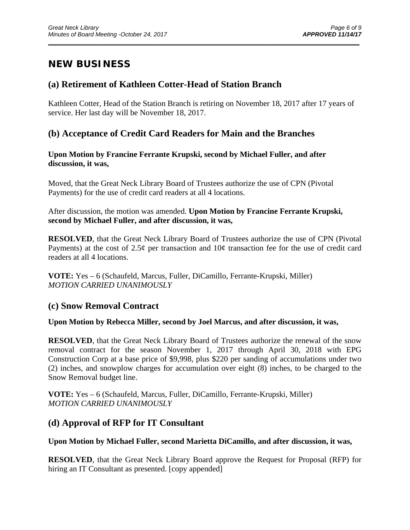# **NEW BUSINESS**

## **(a) Retirement of Kathleen Cotter-Head of Station Branch**

Kathleen Cotter, Head of the Station Branch is retiring on November 18, 2017 after 17 years of service. Her last day will be November 18, 2017.

\_\_\_\_\_\_\_\_\_\_\_\_\_\_\_\_\_\_\_\_\_\_\_\_\_\_\_\_\_\_\_\_\_\_\_\_\_\_\_\_\_\_\_\_\_\_\_\_\_\_\_\_\_\_\_\_\_\_\_\_\_\_\_\_\_\_\_\_\_\_\_\_\_\_\_\_\_\_\_\_\_\_\_\_\_\_\_\_\_\_\_\_\_

## **(b) Acceptance of Credit Card Readers for Main and the Branches**

### **Upon Motion by Francine Ferrante Krupski, second by Michael Fuller, and after discussion, it was,**

Moved, that the Great Neck Library Board of Trustees authorize the use of CPN (Pivotal Payments) for the use of credit card readers at all 4 locations.

After discussion, the motion was amended. **Upon Motion by Francine Ferrante Krupski, second by Michael Fuller, and after discussion, it was,** 

**RESOLVED**, that the Great Neck Library Board of Trustees authorize the use of CPN (Pivotal Payments) at the cost of 2.5 $\phi$  per transaction and 10 $\phi$  transaction fee for the use of credit card readers at all 4 locations.

**VOTE:** Yes – 6 (Schaufeld, Marcus, Fuller, DiCamillo, Ferrante-Krupski, Miller) *MOTION CARRIED UNANIMOUSLY*

## **(c) Snow Removal Contract**

### **Upon Motion by Rebecca Miller, second by Joel Marcus, and after discussion, it was,**

**RESOLVED**, that the Great Neck Library Board of Trustees authorize the renewal of the snow removal contract for the season November 1, 2017 through April 30, 2018 with EPG Construction Corp at a base price of \$9,998, plus \$220 per sanding of accumulations under two (2) inches, and snowplow charges for accumulation over eight (8) inches, to be charged to the Snow Removal budget line.

**VOTE:** Yes – 6 (Schaufeld, Marcus, Fuller, DiCamillo, Ferrante-Krupski, Miller) *MOTION CARRIED UNANIMOUSLY*

## **(d) Approval of RFP for IT Consultant**

### **Upon Motion by Michael Fuller, second Marietta DiCamillo, and after discussion, it was,**

**RESOLVED**, that the Great Neck Library Board approve the Request for Proposal (RFP) for hiring an IT Consultant as presented. [copy appended]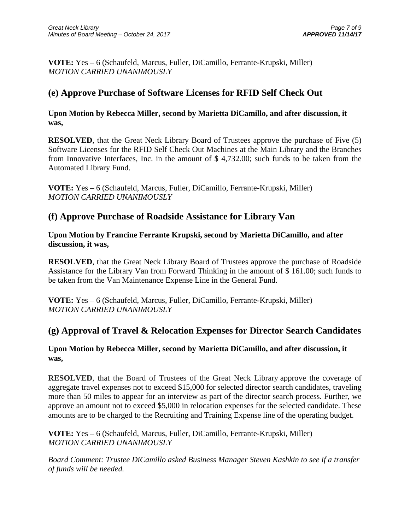**VOTE:** Yes – 6 (Schaufeld, Marcus, Fuller, DiCamillo, Ferrante-Krupski, Miller) *MOTION CARRIED UNANIMOUSLY*

## **(e) Approve Purchase of Software Licenses for RFID Self Check Out**

**Upon Motion by Rebecca Miller, second by Marietta DiCamillo, and after discussion, it was,** 

**RESOLVED**, that the Great Neck Library Board of Trustees approve the purchase of Five (5) Software Licenses for the RFID Self Check Out Machines at the Main Library and the Branches from Innovative Interfaces, Inc. in the amount of \$ 4,732.00; such funds to be taken from the Automated Library Fund.

**VOTE:** Yes – 6 (Schaufeld, Marcus, Fuller, DiCamillo, Ferrante-Krupski, Miller) *MOTION CARRIED UNANIMOUSLY*

## **(f) Approve Purchase of Roadside Assistance for Library Van**

**Upon Motion by Francine Ferrante Krupski, second by Marietta DiCamillo, and after discussion, it was,** 

**RESOLVED**, that the Great Neck Library Board of Trustees approve the purchase of Roadside Assistance for the Library Van from Forward Thinking in the amount of \$ 161.00; such funds to be taken from the Van Maintenance Expense Line in the General Fund.

**VOTE:** Yes – 6 (Schaufeld, Marcus, Fuller, DiCamillo, Ferrante-Krupski, Miller) *MOTION CARRIED UNANIMOUSLY*

## **(g) Approval of Travel & Relocation Expenses for Director Search Candidates**

### **Upon Motion by Rebecca Miller, second by Marietta DiCamillo, and after discussion, it was,**

**RESOLVED**, that the Board of Trustees of the Great Neck Library approve the coverage of aggregate travel expenses not to exceed \$15,000 for selected director search candidates, traveling more than 50 miles to appear for an interview as part of the director search process. Further, we approve an amount not to exceed \$5,000 in relocation expenses for the selected candidate. These amounts are to be charged to the Recruiting and Training Expense line of the operating budget.

**VOTE:** Yes – 6 (Schaufeld, Marcus, Fuller, DiCamillo, Ferrante-Krupski, Miller) *MOTION CARRIED UNANIMOUSLY*

*Board Comment: Trustee DiCamillo asked Business Manager Steven Kashkin to see if a transfer of funds will be needed.*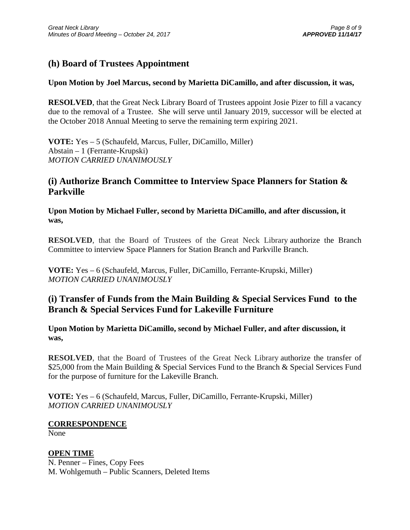# **(h) Board of Trustees Appointment**

### **Upon Motion by Joel Marcus, second by Marietta DiCamillo, and after discussion, it was,**

**RESOLVED**, that the Great Neck Library Board of Trustees appoint Josie Pizer to fill a vacancy due to the removal of a Trustee. She will serve until January 2019, successor will be elected at the October 2018 Annual Meeting to serve the remaining term expiring 2021.

**VOTE:** Yes – 5 (Schaufeld, Marcus, Fuller, DiCamillo, Miller) Abstain – 1 (Ferrante-Krupski) *MOTION CARRIED UNANIMOUSLY*

### **(i) Authorize Branch Committee to Interview Space Planners for Station & Parkville**

**Upon Motion by Michael Fuller, second by Marietta DiCamillo, and after discussion, it was,** 

**RESOLVED**, that the Board of Trustees of the Great Neck Library authorize the Branch Committee to interview Space Planners for Station Branch and Parkville Branch.

**VOTE:** Yes – 6 (Schaufeld, Marcus, Fuller, DiCamillo, Ferrante-Krupski, Miller) *MOTION CARRIED UNANIMOUSLY*

## **(i) Transfer of Funds from the Main Building & Special Services Fund to the Branch & Special Services Fund for Lakeville Furniture**

**Upon Motion by Marietta DiCamillo, second by Michael Fuller, and after discussion, it was,** 

**RESOLVED**, that the Board of Trustees of the Great Neck Library authorize the transfer of \$25,000 from the Main Building & Special Services Fund to the Branch & Special Services Fund for the purpose of furniture for the Lakeville Branch.

**VOTE:** Yes – 6 (Schaufeld, Marcus, Fuller, DiCamillo, Ferrante-Krupski, Miller) *MOTION CARRIED UNANIMOUSLY*

### **CORRESPONDENCE**

None

### **OPEN TIME**

N. Penner – Fines, Copy Fees M. Wohlgemuth – Public Scanners, Deleted Items